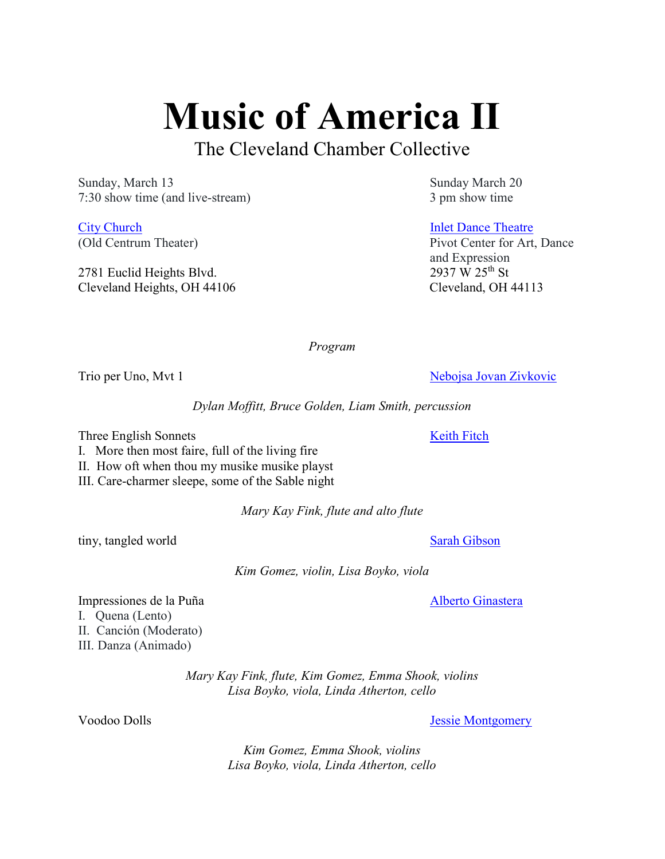Music of America II

The Cleveland Chamber Collective

Sunday, March 13 Sunday March 20 7:30 show time (and live-stream) 3 pm show time

**City Church Inlet Dance Theatre** Inlet Dance Theatre

2781 Euclid Heights Blvd. Cleveland Heights, OH 44106 Cleveland, OH 44113

(Old Centrum Theater) Pivot Center for Art, Dance

and Expression<br>2937 W 25<sup>th</sup> St

Program

Trio per Uno, Mvt 1 Nebojsa Jovan Zivkovic

Dylan Moffitt, Bruce Golden, Liam Smith, percussion

Three English Sonnets **Keith Fitch** 

I. More then most faire, full of the living fire

II. How oft when thou my musike musike playst

III. Care-charmer sleepe, some of the Sable night

Mary Kay Fink, flute and alto flute

tiny, tangled world Sarah Gibson

Kim Gomez, violin, Lisa Boyko, viola

Impressiones de la Puña a alberto Ginastera Alberto Ginastera I. Quena (Lento) II. Canción (Moderato) III. Danza (Animado)

> Mary Kay Fink, flute, Kim Gomez, Emma Shook, violins Lisa Boyko, viola, Linda Atherton, cello

Voodoo Dolls Jessie Montgomery

Kim Gomez, Emma Shook, violins Lisa Boyko, viola, Linda Atherton, cello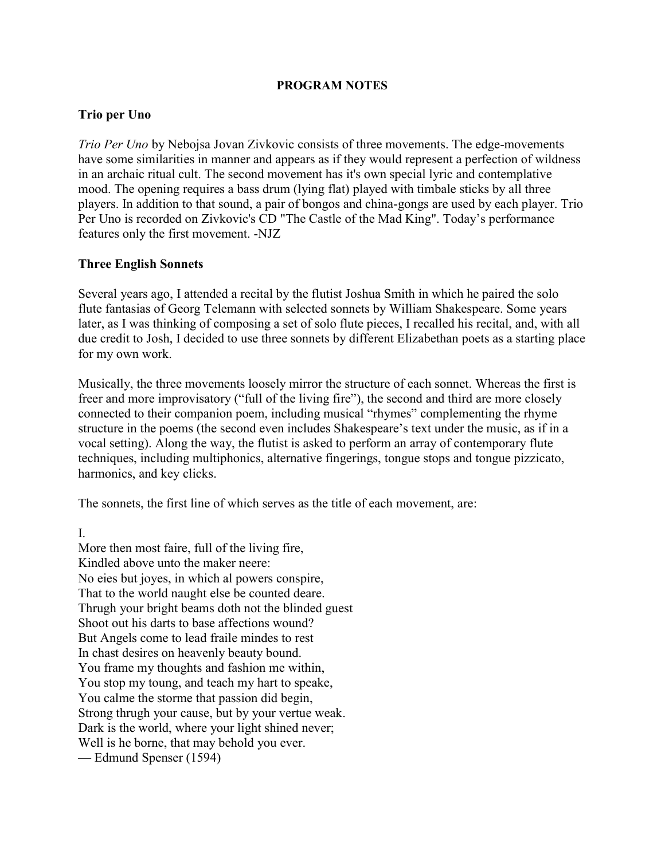#### PROGRAM NOTES

## Trio per Uno

Trio Per Uno by Nebojsa Jovan Zivkovic consists of three movements. The edge-movements have some similarities in manner and appears as if they would represent a perfection of wildness in an archaic ritual cult. The second movement has it's own special lyric and contemplative mood. The opening requires a bass drum (lying flat) played with timbale sticks by all three players. In addition to that sound, a pair of bongos and china-gongs are used by each player. Trio Per Uno is recorded on Zivkovic's CD "The Castle of the Mad King". Today's performance features only the first movement. -NJZ

## Three English Sonnets

Several years ago, I attended a recital by the flutist Joshua Smith in which he paired the solo flute fantasias of Georg Telemann with selected sonnets by William Shakespeare. Some years later, as I was thinking of composing a set of solo flute pieces, I recalled his recital, and, with all due credit to Josh, I decided to use three sonnets by different Elizabethan poets as a starting place for my own work.

Musically, the three movements loosely mirror the structure of each sonnet. Whereas the first is freer and more improvisatory ("full of the living fire"), the second and third are more closely connected to their companion poem, including musical "rhymes" complementing the rhyme structure in the poems (the second even includes Shakespeare's text under the music, as if in a vocal setting). Along the way, the flutist is asked to perform an array of contemporary flute techniques, including multiphonics, alternative fingerings, tongue stops and tongue pizzicato, harmonics, and key clicks.

The sonnets, the first line of which serves as the title of each movement, are:

I.

More then most faire, full of the living fire, Kindled above unto the maker neere: No eies but joyes, in which al powers conspire, That to the world naught else be counted deare. Thrugh your bright beams doth not the blinded guest Shoot out his darts to base affections wound? But Angels come to lead fraile mindes to rest In chast desires on heavenly beauty bound. You frame my thoughts and fashion me within, You stop my toung, and teach my hart to speake, You calme the storme that passion did begin, Strong thrugh your cause, but by your vertue weak. Dark is the world, where your light shined never; Well is he borne, that may behold you ever. — Edmund Spenser (1594)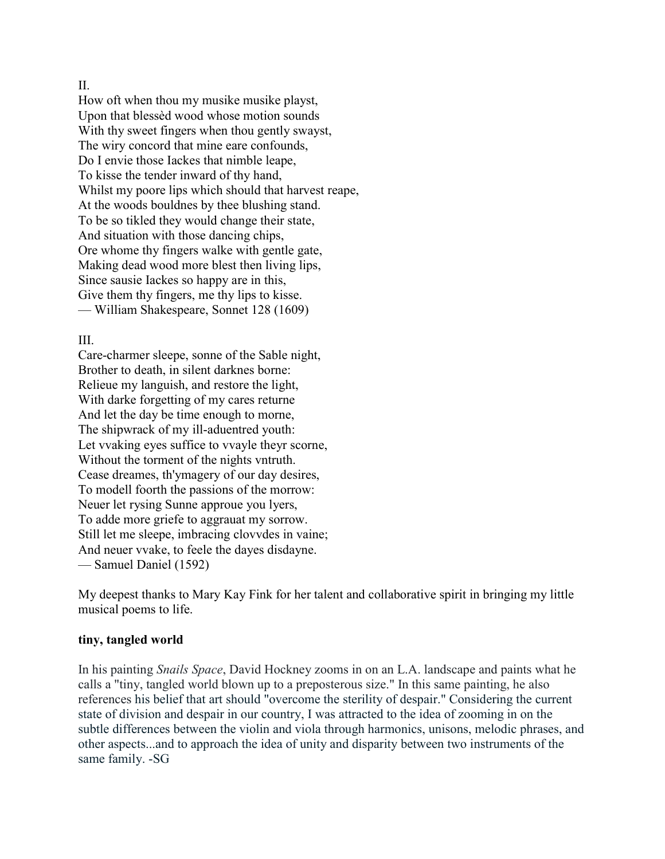#### II.

How oft when thou my musike musike playst, Upon that blessèd wood whose motion sounds With thy sweet fingers when thou gently swayst, The wiry concord that mine eare confounds, Do I envie those Iackes that nimble leape, To kisse the tender inward of thy hand, Whilst my poore lips which should that harvest reape, At the woods bouldnes by thee blushing stand. To be so tikled they would change their state, And situation with those dancing chips, Ore whome thy fingers walke with gentle gate, Making dead wood more blest then living lips, Since sausie Iackes so happy are in this, Give them thy fingers, me thy lips to kisse. — William Shakespeare, Sonnet 128 (1609)

## III.

Care-charmer sleepe, sonne of the Sable night, Brother to death, in silent darknes borne: Relieue my languish, and restore the light, With darke forgetting of my cares returne And let the day be time enough to morne, The shipwrack of my ill-aduentred youth: Let vvaking eyes suffice to vvayle theyr scorne, Without the torment of the nights vntruth. Cease dreames, th'ymagery of our day desires, To modell foorth the passions of the morrow: Neuer let rysing Sunne approue you lyers, To adde more griefe to aggrauat my sorrow. Still let me sleepe, imbracing clovvdes in vaine; And neuer vvake, to feele the dayes disdayne. — Samuel Daniel (1592)

My deepest thanks to Mary Kay Fink for her talent and collaborative spirit in bringing my little musical poems to life.

## tiny, tangled world

In his painting Snails Space, David Hockney zooms in on an L.A. landscape and paints what he calls a "tiny, tangled world blown up to a preposterous size." In this same painting, he also references his belief that art should "overcome the sterility of despair." Considering the current state of division and despair in our country, I was attracted to the idea of zooming in on the subtle differences between the violin and viola through harmonics, unisons, melodic phrases, and other aspects...and to approach the idea of unity and disparity between two instruments of the same family. -SG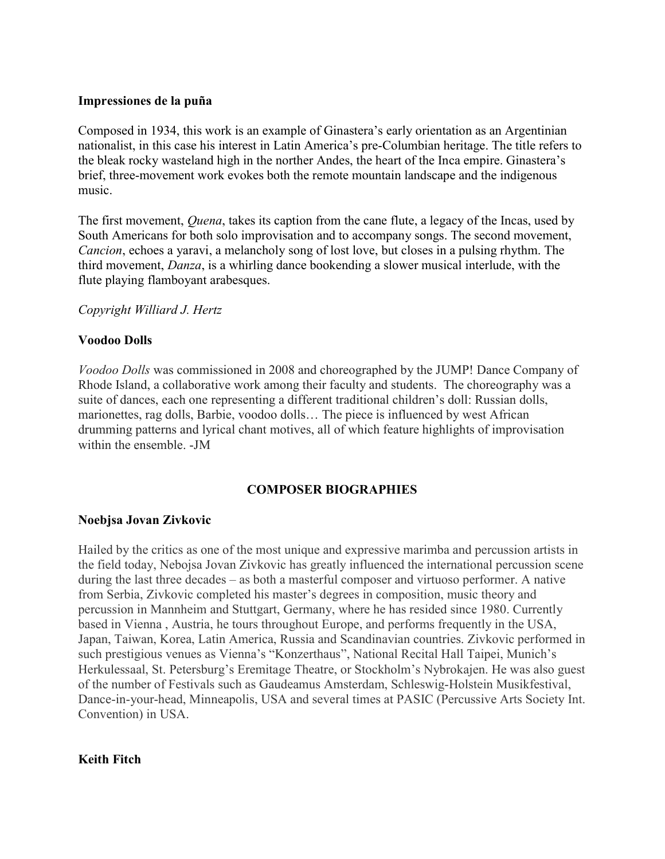## Impressiones de la puña

Composed in 1934, this work is an example of Ginastera's early orientation as an Argentinian nationalist, in this case his interest in Latin America's pre-Columbian heritage. The title refers to the bleak rocky wasteland high in the norther Andes, the heart of the Inca empire. Ginastera's brief, three-movement work evokes both the remote mountain landscape and the indigenous music.

The first movement, *Quena*, takes its caption from the cane flute, a legacy of the Incas, used by South Americans for both solo improvisation and to accompany songs. The second movement, Cancion, echoes a yaravi, a melancholy song of lost love, but closes in a pulsing rhythm. The third movement, Danza, is a whirling dance bookending a slower musical interlude, with the flute playing flamboyant arabesques.

#### Copyright Williard J. Hertz

## Voodoo Dolls

Voodoo Dolls was commissioned in 2008 and choreographed by the JUMP! Dance Company of Rhode Island, a collaborative work among their faculty and students. The choreography was a suite of dances, each one representing a different traditional children's doll: Russian dolls, marionettes, rag dolls, Barbie, voodoo dolls… The piece is influenced by west African drumming patterns and lyrical chant motives, all of which feature highlights of improvisation within the ensemble. -JM

## COMPOSER BIOGRAPHIES

#### Noebjsa Jovan Zivkovic

Hailed by the critics as one of the most unique and expressive marimba and percussion artists in the field today, Nebojsa Jovan Zivkovic has greatly influenced the international percussion scene during the last three decades – as both a masterful composer and virtuoso performer. A native from Serbia, Zivkovic completed his master's degrees in composition, music theory and percussion in Mannheim and Stuttgart, Germany, where he has resided since 1980. Currently based in Vienna , Austria, he tours throughout Europe, and performs frequently in the USA, Japan, Taiwan, Korea, Latin America, Russia and Scandinavian countries. Zivkovic performed in such prestigious venues as Vienna's "Konzerthaus", National Recital Hall Taipei, Munich's Herkulessaal, St. Petersburg's Eremitage Theatre, or Stockholm's Nybrokajen. He was also guest of the number of Festivals such as Gaudeamus Amsterdam, Schleswig-Holstein Musikfestival, Dance-in-your-head, Minneapolis, USA and several times at PASIC (Percussive Arts Society Int. Convention) in USA.

#### Keith Fitch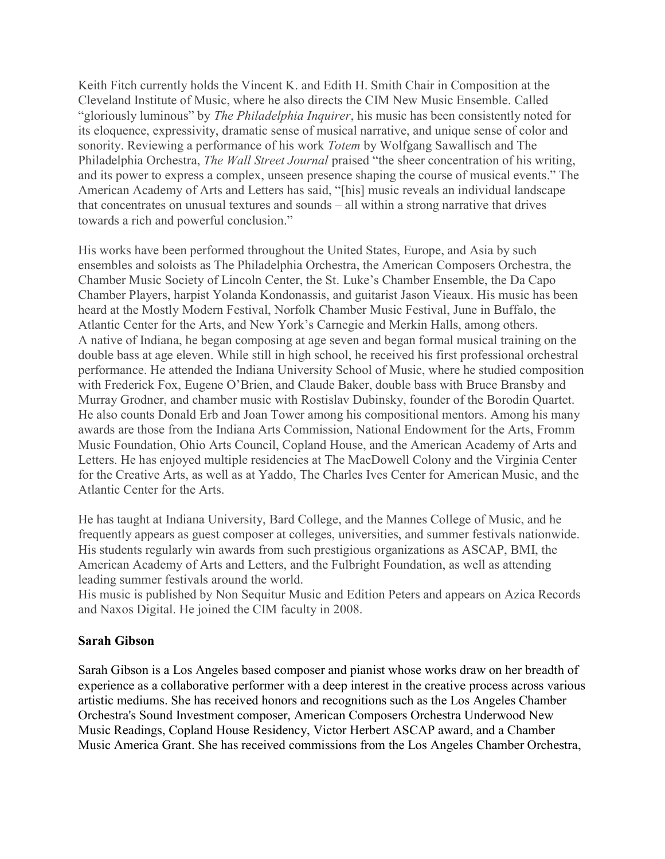Keith Fitch currently holds the Vincent K. and Edith H. Smith Chair in Composition at the Cleveland Institute of Music, where he also directs the CIM New Music Ensemble. Called "gloriously luminous" by The Philadelphia Inquirer, his music has been consistently noted for its eloquence, expressivity, dramatic sense of musical narrative, and unique sense of color and sonority. Reviewing a performance of his work Totem by Wolfgang Sawallisch and The Philadelphia Orchestra, The Wall Street Journal praised "the sheer concentration of his writing, and its power to express a complex, unseen presence shaping the course of musical events." The American Academy of Arts and Letters has said, "[his] music reveals an individual landscape that concentrates on unusual textures and sounds – all within a strong narrative that drives towards a rich and powerful conclusion."

His works have been performed throughout the United States, Europe, and Asia by such ensembles and soloists as The Philadelphia Orchestra, the American Composers Orchestra, the Chamber Music Society of Lincoln Center, the St. Luke's Chamber Ensemble, the Da Capo Chamber Players, harpist Yolanda Kondonassis, and guitarist Jason Vieaux. His music has been heard at the Mostly Modern Festival, Norfolk Chamber Music Festival, June in Buffalo, the Atlantic Center for the Arts, and New York's Carnegie and Merkin Halls, among others. A native of Indiana, he began composing at age seven and began formal musical training on the double bass at age eleven. While still in high school, he received his first professional orchestral performance. He attended the Indiana University School of Music, where he studied composition with Frederick Fox, Eugene O'Brien, and Claude Baker, double bass with Bruce Bransby and Murray Grodner, and chamber music with Rostislav Dubinsky, founder of the Borodin Quartet. He also counts Donald Erb and Joan Tower among his compositional mentors. Among his many awards are those from the Indiana Arts Commission, National Endowment for the Arts, Fromm Music Foundation, Ohio Arts Council, Copland House, and the American Academy of Arts and Letters. He has enjoyed multiple residencies at The MacDowell Colony and the Virginia Center for the Creative Arts, as well as at Yaddo, The Charles Ives Center for American Music, and the Atlantic Center for the Arts.

He has taught at Indiana University, Bard College, and the Mannes College of Music, and he frequently appears as guest composer at colleges, universities, and summer festivals nationwide. His students regularly win awards from such prestigious organizations as ASCAP, BMI, the American Academy of Arts and Letters, and the Fulbright Foundation, as well as attending leading summer festivals around the world.

His music is published by Non Sequitur Music and Edition Peters and appears on Azica Records and Naxos Digital. He joined the CIM faculty in 2008.

## Sarah Gibson

Sarah Gibson is a Los Angeles based composer and pianist whose works draw on her breadth of experience as a collaborative performer with a deep interest in the creative process across various artistic mediums. She has received honors and recognitions such as the Los Angeles Chamber Orchestra's Sound Investment composer, American Composers Orchestra Underwood New Music Readings, Copland House Residency, Victor Herbert ASCAP award, and a Chamber Music America Grant. She has received commissions from the Los Angeles Chamber Orchestra,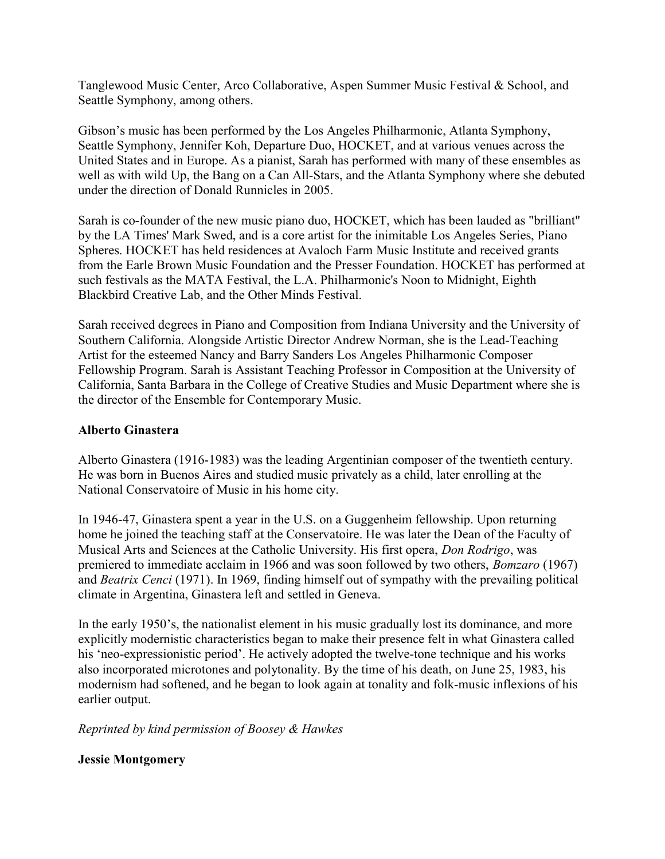Tanglewood Music Center, Arco Collaborative, Aspen Summer Music Festival & School, and Seattle Symphony, among others.

Gibson's music has been performed by the Los Angeles Philharmonic, Atlanta Symphony, Seattle Symphony, Jennifer Koh, Departure Duo, HOCKET, and at various venues across the United States and in Europe. As a pianist, Sarah has performed with many of these ensembles as well as with wild Up, the Bang on a Can All-Stars, and the Atlanta Symphony where she debuted under the direction of Donald Runnicles in 2005.

Sarah is co-founder of the new music piano duo, HOCKET, which has been lauded as "brilliant" by the LA Times' Mark Swed, and is a core artist for the inimitable Los Angeles Series, Piano Spheres. HOCKET has held residences at Avaloch Farm Music Institute and received grants from the Earle Brown Music Foundation and the Presser Foundation. HOCKET has performed at such festivals as the MATA Festival, the L.A. Philharmonic's Noon to Midnight, Eighth Blackbird Creative Lab, and the Other Minds Festival.

Sarah received degrees in Piano and Composition from Indiana University and the University of Southern California. Alongside Artistic Director Andrew Norman, she is the Lead-Teaching Artist for the esteemed Nancy and Barry Sanders Los Angeles Philharmonic Composer Fellowship Program. Sarah is Assistant Teaching Professor in Composition at the University of California, Santa Barbara in the College of Creative Studies and Music Department where she is the director of the Ensemble for Contemporary Music.

# Alberto Ginastera

Alberto Ginastera (1916-1983) was the leading Argentinian composer of the twentieth century. He was born in Buenos Aires and studied music privately as a child, later enrolling at the National Conservatoire of Music in his home city.

In 1946-47, Ginastera spent a year in the U.S. on a Guggenheim fellowship. Upon returning home he joined the teaching staff at the Conservatoire. He was later the Dean of the Faculty of Musical Arts and Sciences at the Catholic University. His first opera, Don Rodrigo, was premiered to immediate acclaim in 1966 and was soon followed by two others, Bomzaro (1967) and Beatrix Cenci (1971). In 1969, finding himself out of sympathy with the prevailing political climate in Argentina, Ginastera left and settled in Geneva.

In the early 1950's, the nationalist element in his music gradually lost its dominance, and more explicitly modernistic characteristics began to make their presence felt in what Ginastera called his 'neo-expressionistic period'. He actively adopted the twelve-tone technique and his works also incorporated microtones and polytonality. By the time of his death, on June 25, 1983, his modernism had softened, and he began to look again at tonality and folk-music inflexions of his earlier output.

# Reprinted by kind permission of Boosey & Hawkes

# Jessie Montgomery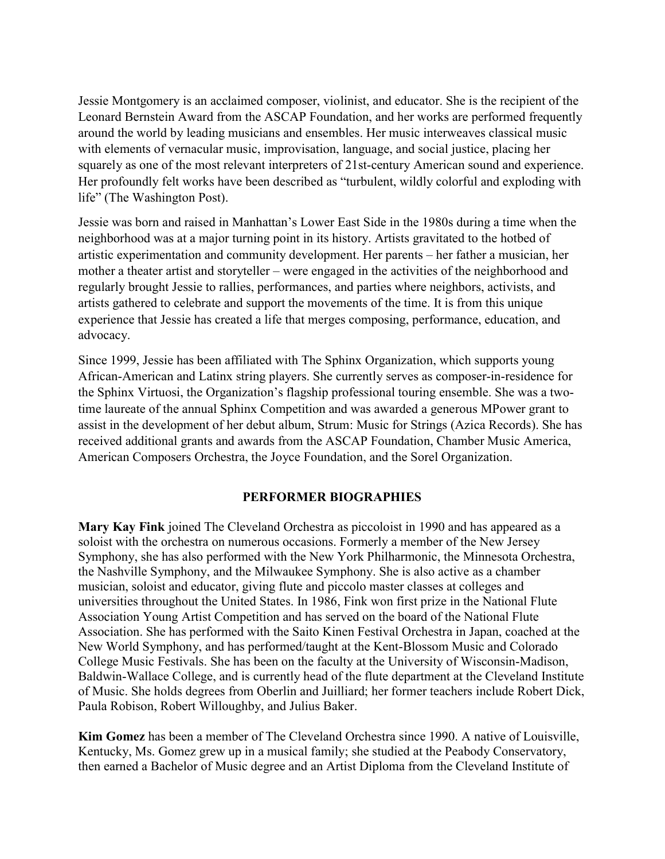Jessie Montgomery is an acclaimed composer, violinist, and educator. She is the recipient of the Leonard Bernstein Award from the ASCAP Foundation, and her works are performed frequently around the world by leading musicians and ensembles. Her music interweaves classical music with elements of vernacular music, improvisation, language, and social justice, placing her squarely as one of the most relevant interpreters of 21st-century American sound and experience. Her profoundly felt works have been described as "turbulent, wildly colorful and exploding with life" (The Washington Post).

Jessie was born and raised in Manhattan's Lower East Side in the 1980s during a time when the neighborhood was at a major turning point in its history. Artists gravitated to the hotbed of artistic experimentation and community development. Her parents – her father a musician, her mother a theater artist and storyteller – were engaged in the activities of the neighborhood and regularly brought Jessie to rallies, performances, and parties where neighbors, activists, and artists gathered to celebrate and support the movements of the time. It is from this unique experience that Jessie has created a life that merges composing, performance, education, and advocacy.

Since 1999, Jessie has been affiliated with The Sphinx Organization, which supports young African-American and Latinx string players. She currently serves as composer-in-residence for the Sphinx Virtuosi, the Organization's flagship professional touring ensemble. She was a twotime laureate of the annual Sphinx Competition and was awarded a generous MPower grant to assist in the development of her debut album, Strum: Music for Strings (Azica Records). She has received additional grants and awards from the ASCAP Foundation, Chamber Music America, American Composers Orchestra, the Joyce Foundation, and the Sorel Organization.

## PERFORMER BIOGRAPHIES

Mary Kay Fink joined The Cleveland Orchestra as piccoloist in 1990 and has appeared as a soloist with the orchestra on numerous occasions. Formerly a member of the New Jersey Symphony, she has also performed with the New York Philharmonic, the Minnesota Orchestra, the Nashville Symphony, and the Milwaukee Symphony. She is also active as a chamber musician, soloist and educator, giving flute and piccolo master classes at colleges and universities throughout the United States. In 1986, Fink won first prize in the National Flute Association Young Artist Competition and has served on the board of the National Flute Association. She has performed with the Saito Kinen Festival Orchestra in Japan, coached at the New World Symphony, and has performed/taught at the Kent-Blossom Music and Colorado College Music Festivals. She has been on the faculty at the University of Wisconsin-Madison, Baldwin-Wallace College, and is currently head of the flute department at the Cleveland Institute of Music. She holds degrees from Oberlin and Juilliard; her former teachers include Robert Dick, Paula Robison, Robert Willoughby, and Julius Baker.

Kim Gomez has been a member of The Cleveland Orchestra since 1990. A native of Louisville, Kentucky, Ms. Gomez grew up in a musical family; she studied at the Peabody Conservatory, then earned a Bachelor of Music degree and an Artist Diploma from the Cleveland Institute of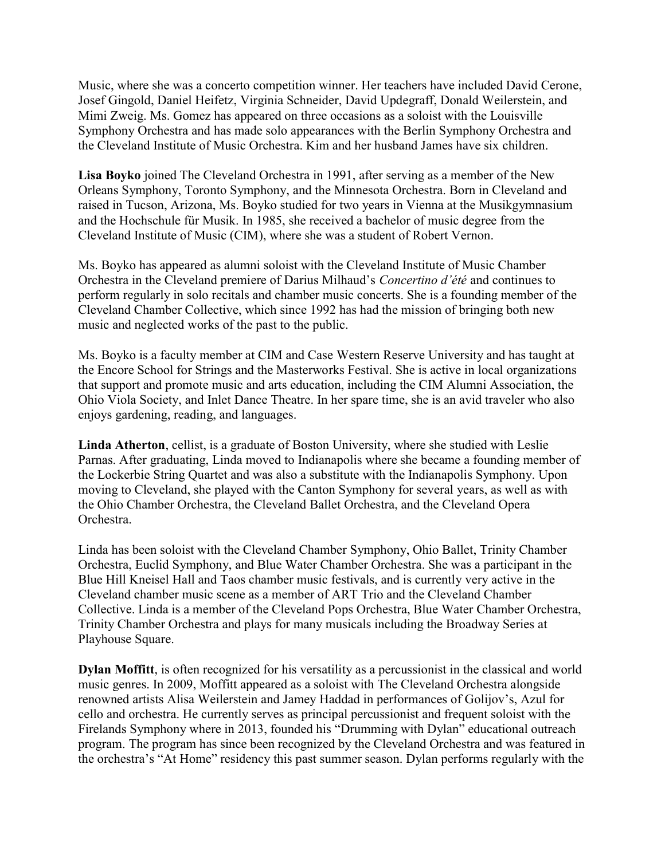Music, where she was a concerto competition winner. Her teachers have included David Cerone, Josef Gingold, Daniel Heifetz, Virginia Schneider, David Updegraff, Donald Weilerstein, and Mimi Zweig. Ms. Gomez has appeared on three occasions as a soloist with the Louisville Symphony Orchestra and has made solo appearances with the Berlin Symphony Orchestra and the Cleveland Institute of Music Orchestra. Kim and her husband James have six children.

Lisa Boyko joined The Cleveland Orchestra in 1991, after serving as a member of the New Orleans Symphony, Toronto Symphony, and the Minnesota Orchestra. Born in Cleveland and raised in Tucson, Arizona, Ms. Boyko studied for two years in Vienna at the Musikgymnasium and the Hochschule für Musik. In 1985, she received a bachelor of music degree from the Cleveland Institute of Music (CIM), where she was a student of Robert Vernon.

Ms. Boyko has appeared as alumni soloist with the Cleveland Institute of Music Chamber Orchestra in the Cleveland premiere of Darius Milhaud's Concertino d'été and continues to perform regularly in solo recitals and chamber music concerts. She is a founding member of the Cleveland Chamber Collective, which since 1992 has had the mission of bringing both new music and neglected works of the past to the public.

Ms. Boyko is a faculty member at CIM and Case Western Reserve University and has taught at the Encore School for Strings and the Masterworks Festival. She is active in local organizations that support and promote music and arts education, including the CIM Alumni Association, the Ohio Viola Society, and Inlet Dance Theatre. In her spare time, she is an avid traveler who also enjoys gardening, reading, and languages.

Linda Atherton, cellist, is a graduate of Boston University, where she studied with Leslie Parnas. After graduating, Linda moved to Indianapolis where she became a founding member of the Lockerbie String Quartet and was also a substitute with the Indianapolis Symphony. Upon moving to Cleveland, she played with the Canton Symphony for several years, as well as with the Ohio Chamber Orchestra, the Cleveland Ballet Orchestra, and the Cleveland Opera Orchestra.

Linda has been soloist with the Cleveland Chamber Symphony, Ohio Ballet, Trinity Chamber Orchestra, Euclid Symphony, and Blue Water Chamber Orchestra. She was a participant in the Blue Hill Kneisel Hall and Taos chamber music festivals, and is currently very active in the Cleveland chamber music scene as a member of ART Trio and the Cleveland Chamber Collective. Linda is a member of the Cleveland Pops Orchestra, Blue Water Chamber Orchestra, Trinity Chamber Orchestra and plays for many musicals including the Broadway Series at Playhouse Square.

Dylan Moffitt, is often recognized for his versatility as a percussionist in the classical and world music genres. In 2009, Moffitt appeared as a soloist with The Cleveland Orchestra alongside renowned artists Alisa Weilerstein and Jamey Haddad in performances of Golijov's, Azul for cello and orchestra. He currently serves as principal percussionist and frequent soloist with the Firelands Symphony where in 2013, founded his "Drumming with Dylan" educational outreach program. The program has since been recognized by the Cleveland Orchestra and was featured in the orchestra's "At Home" residency this past summer season. Dylan performs regularly with the